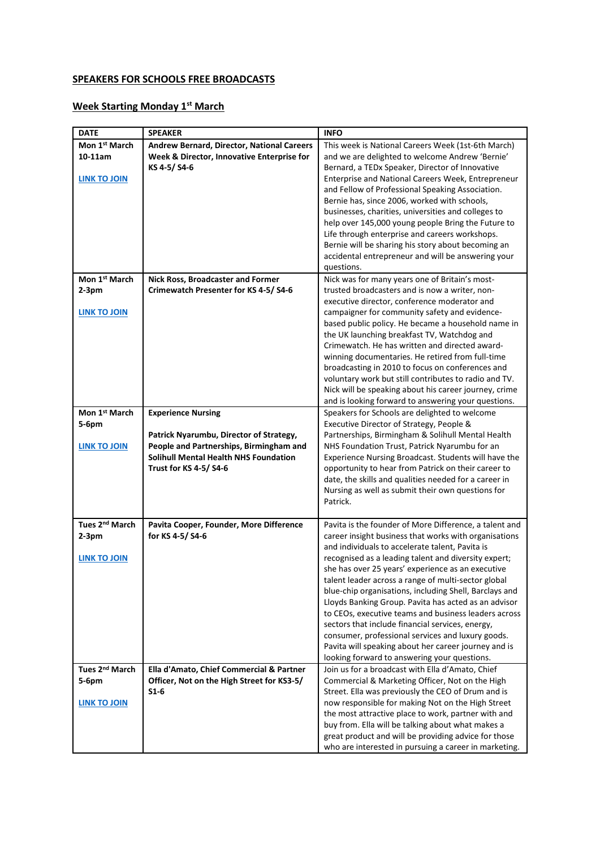## **SPEAKERS FOR SCHOOLS FREE BROADCASTS**

## **Week Starting Monday 1st March**

| <b>DATE</b>                | <b>SPEAKER</b>                             | <b>INFO</b>                                            |
|----------------------------|--------------------------------------------|--------------------------------------------------------|
| Mon 1 <sup>st</sup> March  | Andrew Bernard, Director, National Careers | This week is National Careers Week (1st-6th March)     |
| $10-11$ am                 | Week & Director, Innovative Enterprise for | and we are delighted to welcome Andrew 'Bernie'        |
|                            | KS 4-5/S4-6                                | Bernard, a TEDx Speaker, Director of Innovative        |
| <b>LINK TO JOIN</b>        |                                            | Enterprise and National Careers Week, Entrepreneur     |
|                            |                                            | and Fellow of Professional Speaking Association.       |
|                            |                                            |                                                        |
|                            |                                            | Bernie has, since 2006, worked with schools,           |
|                            |                                            | businesses, charities, universities and colleges to    |
|                            |                                            | help over 145,000 young people Bring the Future to     |
|                            |                                            | Life through enterprise and careers workshops.         |
|                            |                                            | Bernie will be sharing his story about becoming an     |
|                            |                                            | accidental entrepreneur and will be answering your     |
|                            |                                            | questions.                                             |
| Mon 1 <sup>st</sup> March  | <b>Nick Ross, Broadcaster and Former</b>   | Nick was for many years one of Britain's most-         |
| $2-3pm$                    | Crimewatch Presenter for KS 4-5/S4-6       | trusted broadcasters and is now a writer, non-         |
|                            |                                            | executive director, conference moderator and           |
| <b>LINK TO JOIN</b>        |                                            | campaigner for community safety and evidence-          |
|                            |                                            | based public policy. He became a household name in     |
|                            |                                            | the UK launching breakfast TV, Watchdog and            |
|                            |                                            | Crimewatch. He has written and directed award-         |
|                            |                                            | winning documentaries. He retired from full-time       |
|                            |                                            | broadcasting in 2010 to focus on conferences and       |
|                            |                                            | voluntary work but still contributes to radio and TV.  |
|                            |                                            | Nick will be speaking about his career journey, crime  |
|                            |                                            | and is looking forward to answering your questions.    |
| Mon 1st March              | <b>Experience Nursing</b>                  | Speakers for Schools are delighted to welcome          |
| 5-6pm                      |                                            | Executive Director of Strategy, People &               |
|                            | Patrick Nyarumbu, Director of Strategy,    | Partnerships, Birmingham & Solihull Mental Health      |
| <b>LINK TO JOIN</b>        | People and Partnerships, Birmingham and    | NHS Foundation Trust, Patrick Nyarumbu for an          |
|                            | Solihull Mental Health NHS Foundation      | Experience Nursing Broadcast. Students will have the   |
|                            | <b>Trust for KS 4-5/ S4-6</b>              | opportunity to hear from Patrick on their career to    |
|                            |                                            | date, the skills and qualities needed for a career in  |
|                            |                                            | Nursing as well as submit their own questions for      |
|                            |                                            | Patrick.                                               |
|                            |                                            |                                                        |
| Tues 2 <sup>nd</sup> March | Pavita Cooper, Founder, More Difference    | Pavita is the founder of More Difference, a talent and |
| $2-3pm$                    | for KS 4-5/ S4-6                           | career insight business that works with organisations  |
|                            |                                            | and individuals to accelerate talent, Pavita is        |
| <b>LINK TO JOIN</b>        |                                            | recognised as a leading talent and diversity expert;   |
|                            |                                            | she has over 25 years' experience as an executive      |
|                            |                                            | talent leader across a range of multi-sector global    |
|                            |                                            | blue-chip organisations, including Shell, Barclays and |
|                            |                                            | Lloyds Banking Group. Pavita has acted as an advisor   |
|                            |                                            | to CEOs, executive teams and business leaders across   |
|                            |                                            | sectors that include financial services, energy,       |
|                            |                                            | consumer, professional services and luxury goods.      |
|                            |                                            | Pavita will speaking about her career journey and is   |
|                            |                                            | looking forward to answering your questions.           |
| Tues 2 <sup>nd</sup> March | Ella d'Amato, Chief Commercial & Partner   | Join us for a broadcast with Ella d'Amato, Chief       |
| 5-6pm                      | Officer, Not on the High Street for KS3-5/ | Commercial & Marketing Officer, Not on the High        |
|                            | $S1-6$                                     | Street. Ella was previously the CEO of Drum and is     |
|                            |                                            |                                                        |
| <b>LINK TO JOIN</b>        |                                            | now responsible for making Not on the High Street      |
|                            |                                            | the most attractive place to work, partner with and    |
|                            |                                            | buy from. Ella will be talking about what makes a      |
|                            |                                            | great product and will be providing advice for those   |
|                            |                                            | who are interested in pursuing a career in marketing.  |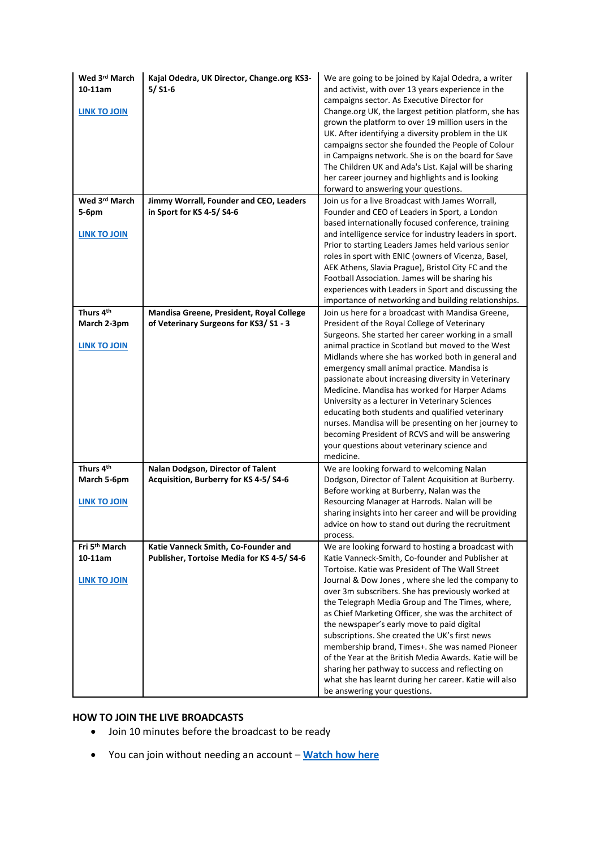| Wed 3rd March<br>$10-11am$<br><b>LINK TO JOIN</b> | Kajal Odedra, UK Director, Change.org KS3-<br>$5/$ S1-6 | We are going to be joined by Kajal Odedra, a writer<br>and activist, with over 13 years experience in the<br>campaigns sector. As Executive Director for<br>Change.org UK, the largest petition platform, she has<br>grown the platform to over 19 million users in the<br>UK. After identifying a diversity problem in the UK<br>campaigns sector she founded the People of Colour<br>in Campaigns network. She is on the board for Save<br>The Children UK and Ada's List. Kajal will be sharing<br>her career journey and highlights and is looking<br>forward to answering your questions. |
|---------------------------------------------------|---------------------------------------------------------|------------------------------------------------------------------------------------------------------------------------------------------------------------------------------------------------------------------------------------------------------------------------------------------------------------------------------------------------------------------------------------------------------------------------------------------------------------------------------------------------------------------------------------------------------------------------------------------------|
| Wed 3rd March                                     | Jimmy Worrall, Founder and CEO, Leaders                 | Join us for a live Broadcast with James Worrall.                                                                                                                                                                                                                                                                                                                                                                                                                                                                                                                                               |
| 5-6pm                                             | in Sport for KS 4-5/S4-6                                | Founder and CEO of Leaders in Sport, a London                                                                                                                                                                                                                                                                                                                                                                                                                                                                                                                                                  |
|                                                   |                                                         | based internationally focused conference, training                                                                                                                                                                                                                                                                                                                                                                                                                                                                                                                                             |
| LINK TO JOIN                                      |                                                         | and intelligence service for industry leaders in sport.                                                                                                                                                                                                                                                                                                                                                                                                                                                                                                                                        |
|                                                   |                                                         | Prior to starting Leaders James held various senior                                                                                                                                                                                                                                                                                                                                                                                                                                                                                                                                            |
|                                                   |                                                         | roles in sport with ENIC (owners of Vicenza, Basel,                                                                                                                                                                                                                                                                                                                                                                                                                                                                                                                                            |
|                                                   |                                                         | AEK Athens, Slavia Prague), Bristol City FC and the                                                                                                                                                                                                                                                                                                                                                                                                                                                                                                                                            |
|                                                   |                                                         | Football Association. James will be sharing his                                                                                                                                                                                                                                                                                                                                                                                                                                                                                                                                                |
|                                                   |                                                         | experiences with Leaders in Sport and discussing the                                                                                                                                                                                                                                                                                                                                                                                                                                                                                                                                           |
|                                                   |                                                         | importance of networking and building relationships.                                                                                                                                                                                                                                                                                                                                                                                                                                                                                                                                           |
| Thurs 4th                                         | Mandisa Greene, President, Royal College                | Join us here for a broadcast with Mandisa Greene,                                                                                                                                                                                                                                                                                                                                                                                                                                                                                                                                              |
| March 2-3pm                                       | of Veterinary Surgeons for KS3/S1 - 3                   | President of the Royal College of Veterinary                                                                                                                                                                                                                                                                                                                                                                                                                                                                                                                                                   |
|                                                   |                                                         | Surgeons. She started her career working in a small                                                                                                                                                                                                                                                                                                                                                                                                                                                                                                                                            |
| <b>LINK TO JOIN</b>                               |                                                         | animal practice in Scotland but moved to the West                                                                                                                                                                                                                                                                                                                                                                                                                                                                                                                                              |
|                                                   |                                                         | Midlands where she has worked both in general and                                                                                                                                                                                                                                                                                                                                                                                                                                                                                                                                              |
|                                                   |                                                         | emergency small animal practice. Mandisa is                                                                                                                                                                                                                                                                                                                                                                                                                                                                                                                                                    |
|                                                   |                                                         | passionate about increasing diversity in Veterinary                                                                                                                                                                                                                                                                                                                                                                                                                                                                                                                                            |
|                                                   |                                                         | Medicine. Mandisa has worked for Harper Adams                                                                                                                                                                                                                                                                                                                                                                                                                                                                                                                                                  |
|                                                   |                                                         | University as a lecturer in Veterinary Sciences                                                                                                                                                                                                                                                                                                                                                                                                                                                                                                                                                |
|                                                   |                                                         | educating both students and qualified veterinary                                                                                                                                                                                                                                                                                                                                                                                                                                                                                                                                               |
|                                                   |                                                         | nurses. Mandisa will be presenting on her journey to                                                                                                                                                                                                                                                                                                                                                                                                                                                                                                                                           |
|                                                   |                                                         | becoming President of RCVS and will be answering                                                                                                                                                                                                                                                                                                                                                                                                                                                                                                                                               |
|                                                   |                                                         | your questions about veterinary science and                                                                                                                                                                                                                                                                                                                                                                                                                                                                                                                                                    |
|                                                   |                                                         | medicine.                                                                                                                                                                                                                                                                                                                                                                                                                                                                                                                                                                                      |
| Thurs 4th                                         | Nalan Dodgson, Director of Talent                       | We are looking forward to welcoming Nalan                                                                                                                                                                                                                                                                                                                                                                                                                                                                                                                                                      |
| March 5-6pm                                       | Acquisition, Burberry for KS 4-5/S4-6                   | Dodgson, Director of Talent Acquisition at Burberry.                                                                                                                                                                                                                                                                                                                                                                                                                                                                                                                                           |
|                                                   |                                                         | Before working at Burberry, Nalan was the                                                                                                                                                                                                                                                                                                                                                                                                                                                                                                                                                      |
| LINK TO JOIN                                      |                                                         | Resourcing Manager at Harrods. Nalan will be                                                                                                                                                                                                                                                                                                                                                                                                                                                                                                                                                   |
|                                                   |                                                         | sharing insights into her career and will be providing                                                                                                                                                                                                                                                                                                                                                                                                                                                                                                                                         |
|                                                   |                                                         | advice on how to stand out during the recruitment                                                                                                                                                                                                                                                                                                                                                                                                                                                                                                                                              |
|                                                   |                                                         | process.                                                                                                                                                                                                                                                                                                                                                                                                                                                                                                                                                                                       |
| Fri 5 <sup>th</sup> March                         | Katie Vanneck Smith, Co-Founder and                     | We are looking forward to hosting a broadcast with                                                                                                                                                                                                                                                                                                                                                                                                                                                                                                                                             |
| $10-11$ am                                        | Publisher, Tortoise Media for KS 4-5/S4-6               | Katie Vanneck-Smith, Co-founder and Publisher at                                                                                                                                                                                                                                                                                                                                                                                                                                                                                                                                               |
|                                                   |                                                         | Tortoise. Katie was President of The Wall Street                                                                                                                                                                                                                                                                                                                                                                                                                                                                                                                                               |
| <u>LINK TO JOIN</u>                               |                                                         | Journal & Dow Jones, where she led the company to                                                                                                                                                                                                                                                                                                                                                                                                                                                                                                                                              |
|                                                   |                                                         | over 3m subscribers. She has previously worked at                                                                                                                                                                                                                                                                                                                                                                                                                                                                                                                                              |
|                                                   |                                                         | the Telegraph Media Group and The Times, where,                                                                                                                                                                                                                                                                                                                                                                                                                                                                                                                                                |
|                                                   |                                                         | as Chief Marketing Officer, she was the architect of                                                                                                                                                                                                                                                                                                                                                                                                                                                                                                                                           |
|                                                   |                                                         | the newspaper's early move to paid digital                                                                                                                                                                                                                                                                                                                                                                                                                                                                                                                                                     |
|                                                   |                                                         | subscriptions. She created the UK's first news<br>membership brand, Times+. She was named Pioneer                                                                                                                                                                                                                                                                                                                                                                                                                                                                                              |
|                                                   |                                                         | of the Year at the British Media Awards. Katie will be                                                                                                                                                                                                                                                                                                                                                                                                                                                                                                                                         |
|                                                   |                                                         | sharing her pathway to success and reflecting on                                                                                                                                                                                                                                                                                                                                                                                                                                                                                                                                               |
|                                                   |                                                         | what she has learnt during her career. Katie will also                                                                                                                                                                                                                                                                                                                                                                                                                                                                                                                                         |
|                                                   |                                                         | be answering your questions.                                                                                                                                                                                                                                                                                                                                                                                                                                                                                                                                                                   |
|                                                   |                                                         |                                                                                                                                                                                                                                                                                                                                                                                                                                                                                                                                                                                                |

## **HOW TO JOIN THE LIVE BROADCASTS**

- Join 10 minutes before the broadcast to be ready
- You can join without needing an account **[Watch how here](https://vimeo.com/418436143)**